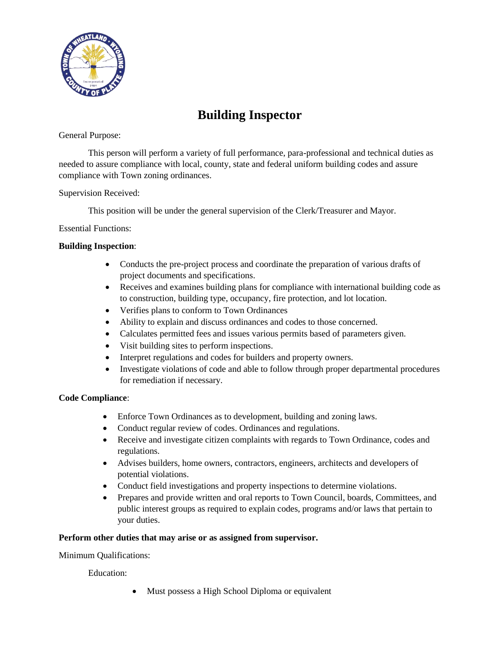

# **Building Inspector**

### General Purpose:

This person will perform a variety of full performance, para-professional and technical duties as needed to assure compliance with local, county, state and federal uniform building codes and assure compliance with Town zoning ordinances.

## Supervision Received:

This position will be under the general supervision of the Clerk/Treasurer and Mayor.

## Essential Functions:

## **Building Inspection**:

- Conducts the pre-project process and coordinate the preparation of various drafts of project documents and specifications.
- Receives and examines building plans for compliance with international building code as to construction, building type, occupancy, fire protection, and lot location.
- Verifies plans to conform to Town Ordinances
- Ability to explain and discuss ordinances and codes to those concerned.
- Calculates permitted fees and issues various permits based of parameters given.
- Visit building sites to perform inspections.
- Interpret regulations and codes for builders and property owners.
- Investigate violations of code and able to follow through proper departmental procedures for remediation if necessary.

## **Code Compliance**:

- Enforce Town Ordinances as to development, building and zoning laws.
- Conduct regular review of codes. Ordinances and regulations.
- Receive and investigate citizen complaints with regards to Town Ordinance, codes and regulations.
- Advises builders, home owners, contractors, engineers, architects and developers of potential violations.
- Conduct field investigations and property inspections to determine violations.
- Prepares and provide written and oral reports to Town Council, boards, Committees, and public interest groups as required to explain codes, programs and/or laws that pertain to your duties.

## **Perform other duties that may arise or as assigned from supervisor.**

Minimum Qualifications:

Education:

• Must possess a High School Diploma or equivalent